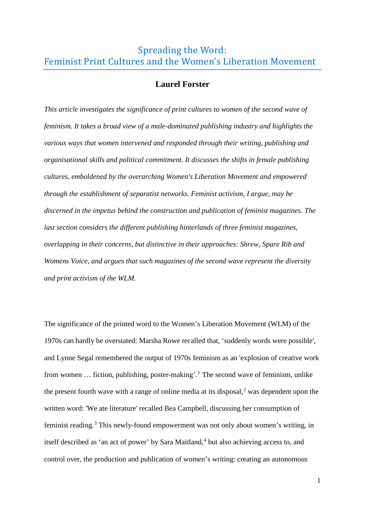# Spreading the Word: Feminist Print Cultures and the Women's Liberation Movement

# **Laurel Forster**

*This article investigates the significance of print cultures to women of the second wave of feminism. It takes a broad view of a male-dominated publishing industry and highlights the various ways that women intervened and responded through their writing, publishing and organisational skills and political commitment. It discusses the shifts in female publishing cultures, emboldened by the overarching Women's Liberation Movement and empowered through the establishment of separatist networks. Feminist activism, I argue, may be discerned in the impetus behind the construction and publication of feminist magazines. The last section considers the different publishing hinterlands of three feminist magazines, overlapping in their concerns, but distinctive in their approaches: Shrew, Spare Rib and Womens Voice, and argues that such magazines of the second wave represent the diversity and print activism of the WLM.*

The significance of the printed word to the Women's Liberation Movement (WLM) of the 1970s can hardly be overstated: Marsha Rowe recalled that, 'suddenly words were possible', and Lynne Segal remembered the output of 1970s feminism as an 'explosion of creative work from women … fiction, publishing, poster-making'. [1](#page-4-0) The second wave of feminism, unlike the present fourth wave with a range of online media at its disposal, $<sup>2</sup>$  $<sup>2</sup>$  $<sup>2</sup>$  was dependent upon the</sup> written word: 'We ate literature' recalled Bea Campbell, discussing her consumption of feminist reading.[3](#page-4-2) This newly-found empowerment was not only about women's writing, in itself described as 'an act of power' by Sara Maitland, $4$  but also achieving access to, and control over, the production and publication of women's writing: creating an autonomous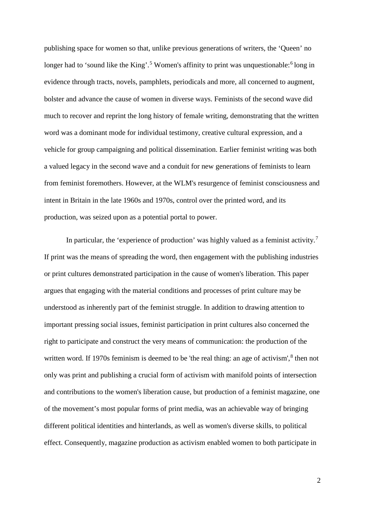publishing space for women so that, unlike previous generations of writers, the 'Queen' no longer had to 'sound like the King'.<sup>[5](#page-5-0)</sup> Women's affinity to print was unquestionable:<sup>[6](#page-5-1)</sup> long in evidence through tracts, novels, pamphlets, periodicals and more, all concerned to augment, bolster and advance the cause of women in diverse ways. Feminists of the second wave did much to recover and reprint the long history of female writing, demonstrating that the written word was a dominant mode for individual testimony, creative cultural expression, and a vehicle for group campaigning and political dissemination. Earlier feminist writing was both a valued legacy in the second wave and a conduit for new generations of feminists to learn from feminist foremothers. However, at the WLM's resurgence of feminist consciousness and intent in Britain in the late 1960s and 1970s, control over the printed word, and its production, was seized upon as a potential portal to power.

In particular, the 'experience of production' was highly valued as a feminist activity.<sup>[7](#page-5-2)</sup> If print was the means of spreading the word, then engagement with the publishing industries or print cultures demonstrated participation in the cause of women's liberation. This paper argues that engaging with the material conditions and processes of print culture may be understood as inherently part of the feminist struggle. In addition to drawing attention to important pressing social issues, feminist participation in print cultures also concerned the right to participate and construct the very means of communication: the production of the written word. If 1970s feminism is deemed to be 'the real thing: an age of activism',  $8$  then not only was print and publishing a crucial form of activism with manifold points of intersection and contributions to the women's liberation cause, but production of a feminist magazine, one of the movement's most popular forms of print media, was an achievable way of bringing different political identities and hinterlands, as well as women's diverse skills, to political effect. Consequently, magazine production as activism enabled women to both participate in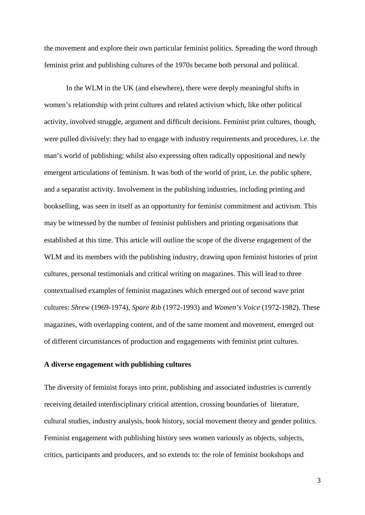the movement and explore their own particular feminist politics. Spreading the word through feminist print and publishing cultures of the 1970s became both personal and political.

In the WLM in the UK (and elsewhere), there were deeply meaningful shifts in women's relationship with print cultures and related activism which, like other political activity, involved struggle, argument and difficult decisions. Feminist print cultures, though, were pulled divisively: they had to engage with industry requirements and procedures, i.e. the man's world of publishing; whilst also expressing often radically oppositional and newly emergent articulations of feminism. It was both of the world of print, i.e. the public sphere, and a separatist activity. Involvement in the publishing industries, including printing and bookselling, was seen in itself as an opportunity for feminist commitment and activism. This may be witnessed by the number of feminist publishers and printing organisations that established at this time. This article will outline the scope of the diverse engagement of the WLM and its members with the publishing industry, drawing upon feminist histories of print cultures, personal testimonials and critical writing on magazines. This will lead to three contextualised examples of feminist magazines which emerged out of second wave print cultures: *Shrew* (1969-1974), *Spare Rib* (1972-1993) and *Women's Voice* (1972-1982). These magazines, with overlapping content, and of the same moment and movement, emerged out of different circumstances of production and engagements with feminist print cultures.

# **A diverse engagement with publishing cultures**

The diversity of feminist forays into print, publishing and associated industries is currently receiving detailed interdisciplinary critical attention, crossing boundaries of literature, cultural studies, industry analysis, book history, social movement theory and gender politics. Feminist engagement with publishing history sees women variously as objects, subjects, critics, participants and producers, and so extends to: the role of feminist bookshops and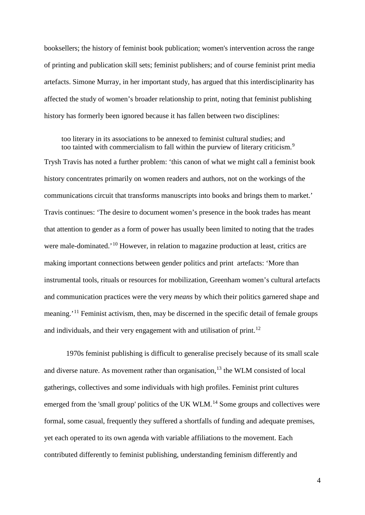booksellers; the history of feminist book publication; women's intervention across the range of printing and publication skill sets; feminist publishers; and of course feminist print media artefacts. Simone Murray, in her important study, has argued that this interdisciplinarity has affected the study of women's broader relationship to print, noting that feminist publishing history has formerly been ignored because it has fallen between two disciplines:

too literary in its associations to be annexed to feminist cultural studies; and too tainted with commercialism to fall within the purview of literary criticism.<sup>[9](#page-6-0)</sup>

Trysh Travis has noted a further problem: 'this canon of what we might call a feminist book history concentrates primarily on women readers and authors, not on the workings of the communications circuit that transforms manuscripts into books and brings them to market.' Travis continues: 'The desire to document women's presence in the book trades has meant that attention to gender as a form of power has usually been limited to noting that the trades were male-dominated.<sup>'[10](#page-6-1)</sup> However, in relation to magazine production at least, critics are making important connections between gender politics and print artefacts: 'More than instrumental tools, rituals or resources for mobilization, Greenham women's cultural artefacts and communication practices were the very *means* by which their politics garnered shape and meaning.'[11](#page-6-2) Feminist activism, then, may be discerned in the specific detail of female groups and individuals, and their very engagement with and utilisation of print.<sup>[12](#page-6-3)</sup>

1970s feminist publishing is difficult to generalise precisely because of its small scale and diverse nature. As movement rather than organisation,  $13$  the WLM consisted of local gatherings, collectives and some individuals with high profiles. Feminist print cultures emerged from the 'small group' politics of the UK WLM.<sup>[14](#page-6-5)</sup> Some groups and collectives were formal, some casual, frequently they suffered a shortfalls of funding and adequate premises, yet each operated to its own agenda with variable affiliations to the movement. Each contributed differently to feminist publishing, understanding feminism differently and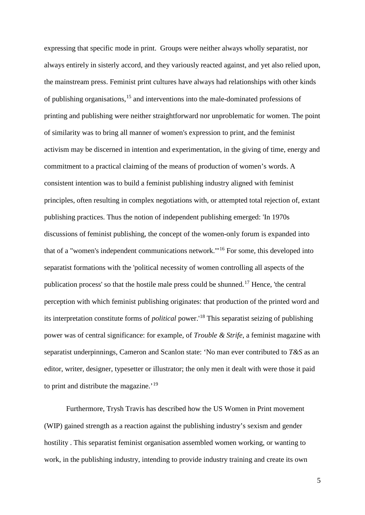<span id="page-4-3"></span><span id="page-4-2"></span><span id="page-4-1"></span><span id="page-4-0"></span>expressing that specific mode in print. Groups were neither always wholly separatist, nor always entirely in sisterly accord, and they variously reacted against, and yet also relied upon, the mainstream press. Feminist print cultures have always had relationships with other kinds of publishing organisations,[15](#page-7-0) and interventions into the male-dominated professions of printing and publishing were neither straightforward nor unproblematic for women. The point of similarity was to bring all manner of women's expression to print, and the feminist activism may be discerned in intention and experimentation, in the giving of time, energy and commitment to a practical claiming of the means of production of women's words. A consistent intention was to build a feminist publishing industry aligned with feminist principles, often resulting in complex negotiations with, or attempted total rejection of, extant publishing practices. Thus the notion of independent publishing emerged: 'In 1970s discussions of feminist publishing, the concept of the women-only forum is expanded into that of a "women's independent communications network."'[16](#page-7-1) For some, this developed into separatist formations with the 'political necessity of women controlling all aspects of the publication process' so that the hostile male press could be shunned.<sup>[17](#page-7-2)</sup> Hence, 'the central perception with which feminist publishing originates: that production of the printed word and its interpretation constitute forms of *political* power.'[18](#page-7-3) This separatist seizing of publishing power was of central significance: for example, of *Trouble & Strife*, a feminist magazine with separatist underpinnings, Cameron and Scanlon state: 'No man ever contributed to *T&S* as an editor, writer, designer, typesetter or illustrator; the only men it dealt with were those it paid to print and distribute the magazine.<sup>'[19](#page-7-4)</sup>

Furthermore, Trysh Travis has described how the US Women in Print movement (WIP) gained strength as a reaction against the publishing industry's sexism and gender hostility . This separatist feminist organisation assembled women working, or wanting to work, in the publishing industry, intending to provide industry training and create its own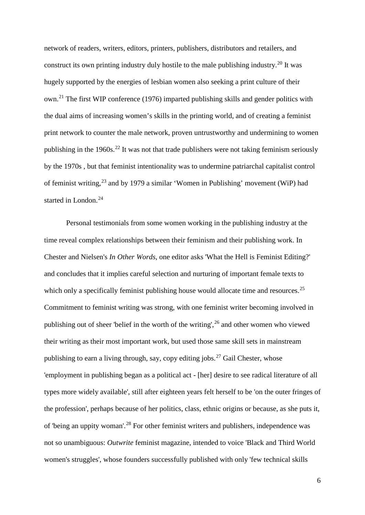network of readers, writers, editors, printers, publishers, distributors and retailers, and construct its own printing industry duly hostile to the male publishing industry.<sup>[20](#page-8-0)</sup> It was hugely supported by the energies of lesbian women also seeking a print culture of their own.[21](#page-8-1) The first WIP conference (1976) imparted publishing skills and gender politics with the dual aims of increasing women's skills in the printing world, and of creating a feminist print network to counter the male network, proven untrustworthy and undermining to women publishing in the 1960s.<sup>[22](#page-8-2)</sup> It was not that trade publishers were not taking feminism seriously by the 1970s , but that feminist intentionality was to undermine patriarchal capitalist control of feminist writing,<sup>[23](#page-8-3)</sup> and by 1979 a similar 'Women in Publishing' movement (WiP) had started in London.<sup>[24](#page-8-4)</sup>

<span id="page-5-3"></span><span id="page-5-2"></span><span id="page-5-1"></span><span id="page-5-0"></span>Personal testimonials from some women working in the publishing industry at the time reveal complex relationships between their feminism and their publishing work. In Chester and Nielsen's *In Other Words*, one editor asks 'What the Hell is Feminist Editing?' and concludes that it implies careful selection and nurturing of important female texts to which only a specifically feminist publishing house would allocate time and resources.<sup>[25](#page-8-5)</sup> Commitment to feminist writing was strong, with one feminist writer becoming involved in publishing out of sheer 'belief in the worth of the writing', [26](#page-8-6) and other women who viewed their writing as their most important work, but used those same skill sets in mainstream publishing to earn a living through, say, copy editing jobs.<sup>[27](#page-8-7)</sup> Gail Chester, whose 'employment in publishing began as a political act - [her] desire to see radical literature of all types more widely available', still after eighteen years felt herself to be 'on the outer fringes of the profession', perhaps because of her politics, class, ethnic origins or because, as she puts it, of 'being an uppity woman'.[28](#page-8-8) For other feminist writers and publishers, independence was not so unambiguous: *Outwrite* feminist magazine, intended to voice 'Black and Third World women's struggles', whose founders successfully published with only 'few technical skills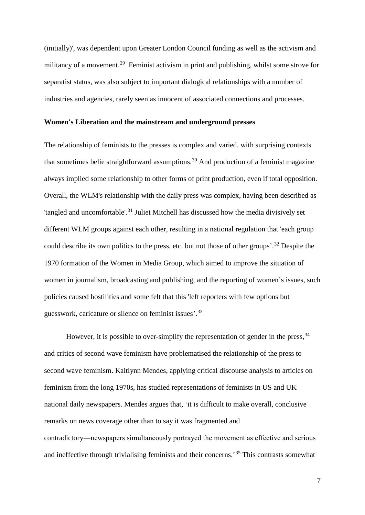(initially)', was dependent upon Greater London Council funding as well as the activism and militancy of a movement.<sup>[29](#page-9-0)</sup> Feminist activism in print and publishing, whilst some strove for separatist status, was also subject to important dialogical relationships with a number of industries and agencies, rarely seen as innocent of associated connections and processes.

#### **Women's Liberation and the mainstream and underground presses**

<span id="page-6-3"></span><span id="page-6-2"></span><span id="page-6-1"></span><span id="page-6-0"></span>The relationship of feminists to the presses is complex and varied, with surprising contexts that sometimes belie straightforward assumptions.<sup>[30](#page-9-1)</sup> And production of a feminist magazine always implied some relationship to other forms of print production, even if total opposition. Overall, the WLM's relationship with the daily press was complex, having been described as 'tangled and uncomfortable'.<sup>[31](#page-9-2)</sup> Juliet Mitchell has discussed how the media divisively set different WLM groups against each other, resulting in a national regulation that 'each group could describe its own politics to the press, etc. but not those of other groups'.<sup>[32](#page-9-3)</sup> Despite the 1970 formation of the Women in Media Group, which aimed to improve the situation of women in journalism, broadcasting and publishing, and the reporting of women's issues, such policies caused hostilities and some felt that this 'left reporters with few options but guesswork, caricature or silence on feminist issues'.<sup>[33](#page-9-4)</sup>

<span id="page-6-5"></span><span id="page-6-4"></span>However, it is possible to over-simplify the representation of gender in the press,  $34$ and critics of second wave feminism have problematised the relationship of the press to second wave feminism. Kaitlynn Mendes, applying critical discourse analysis to articles on feminism from the long 1970s, has studied representations of feminists in US and UK national daily newspapers. Mendes argues that, 'it is difficult to make overall, conclusive remarks on news coverage other than to say it was fragmented and contradictory―newspapers simultaneously portrayed the movement as effective and serious and ineffective through trivialising feminists and their concerns.'[35](#page-9-6) This contrasts somewhat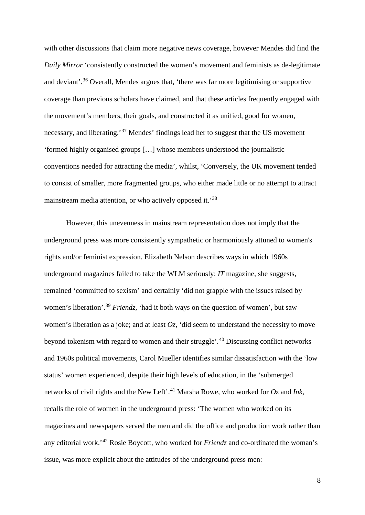with other discussions that claim more negative news coverage, however Mendes did find the *Daily Mirror* 'consistently constructed the women's movement and feminists as de-legitimate and deviant'. [36](#page-10-0) Overall, Mendes argues that, 'there was far more legitimising or supportive coverage than previous scholars have claimed, and that these articles frequently engaged with the movement's members, their goals, and constructed it as unified, good for women, necessary, and liberating.'[37](#page-10-1) Mendes' findings lead her to suggest that the US movement 'formed highly organised groups […] whose members understood the journalistic conventions needed for attracting the media', whilst, 'Conversely, the UK movement tended to consist of smaller, more fragmented groups, who either made little or no attempt to attract mainstream media attention, or who actively opposed it.<sup>[38](#page-10-2)</sup>

<span id="page-7-4"></span><span id="page-7-3"></span><span id="page-7-2"></span><span id="page-7-1"></span><span id="page-7-0"></span>However, this unevenness in mainstream representation does not imply that the underground press was more consistently sympathetic or harmoniously attuned to women's rights and/or feminist expression. Elizabeth Nelson describes ways in which 1960s underground magazines failed to take the WLM seriously: *IT* magazine, she suggests, remained 'committed to sexism' and certainly 'did not grapple with the issues raised by women's liberation'. [39](#page-10-3) *Friendz*, 'had it both ways on the question of women', but saw women's liberation as a joke; and at least *Oz*, 'did seem to understand the necessity to move beyond tokenism with regard to women and their struggle'. [40](#page-10-4) Discussing conflict networks and 1960s political movements, Carol Mueller identifies similar dissatisfaction with the 'low status' women experienced, despite their high levels of education, in the 'submerged networks of civil rights and the New Left'. [41](#page-10-5) Marsha Rowe, who worked for *Oz* and *Ink*, recalls the role of women in the underground press: 'The women who worked on its magazines and newspapers served the men and did the office and production work rather than any editorial work.'[42](#page-10-6) Rosie Boycott, who worked for *Friendz* and co-ordinated the woman's issue, was more explicit about the attitudes of the underground press men: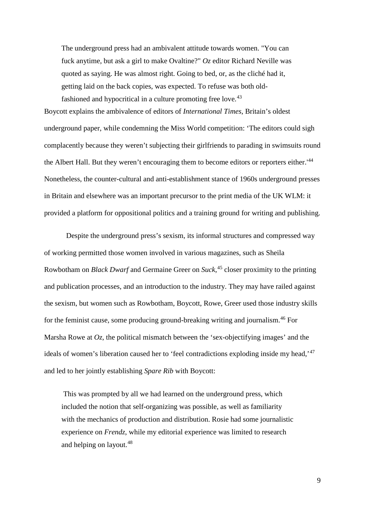The underground press had an ambivalent attitude towards women. "You can fuck anytime, but ask a girl to make Ovaltine?" *Oz* editor Richard Neville was quoted as saying. He was almost right. Going to bed, or, as the cliché had it, getting laid on the back copies, was expected. To refuse was both old-fashioned and hypocritical in a culture promoting free love.<sup>[43](#page-11-0)</sup>

Boycott explains the ambivalence of editors of *International Times*, Britain's oldest underground paper, while condemning the Miss World competition: 'The editors could sigh complacently because they weren't subjecting their girlfriends to parading in swimsuits round the Albert Hall. But they weren't encouraging them to become editors or reporters either.<sup>'[44](#page-11-1)</sup> Nonetheless, the counter-cultural and anti-establishment stance of 1960s underground presses in Britain and elsewhere was an important precursor to the print media of the UK WLM: it provided a platform for oppositional politics and a training ground for writing and publishing.

Despite the underground press's sexism, its informal structures and compressed way of working permitted those women involved in various magazines, such as Sheila Rowbotham on *Black Dwarf* and Germaine Greer on *Suck*, [45](#page-11-2) closer proximity to the printing and publication processes, and an introduction to the industry. They may have railed against the sexism, but women such as Rowbotham, Boycott, Rowe, Greer used those industry skills for the feminist cause, some producing ground-breaking writing and journalism.[46](#page-11-3) For Marsha Rowe at  $Oz$ , the political mismatch between the 'sex-objectifying images' and the ideals of women's liberation caused her to 'feel contradictions exploding inside my head,'<sup>[47](#page-11-4)</sup> and led to her jointly establishing *Spare Rib* with Boycott:

<span id="page-8-8"></span><span id="page-8-7"></span><span id="page-8-6"></span><span id="page-8-5"></span><span id="page-8-4"></span><span id="page-8-3"></span><span id="page-8-2"></span><span id="page-8-1"></span><span id="page-8-0"></span>This was prompted by all we had learned on the underground press, which included the notion that self-organizing was possible, as well as familiarity with the mechanics of production and distribution. Rosie had some journalistic experience on *Frendz*, while my editorial experience was limited to research and helping on layout.<sup>[48](#page-11-5)</sup>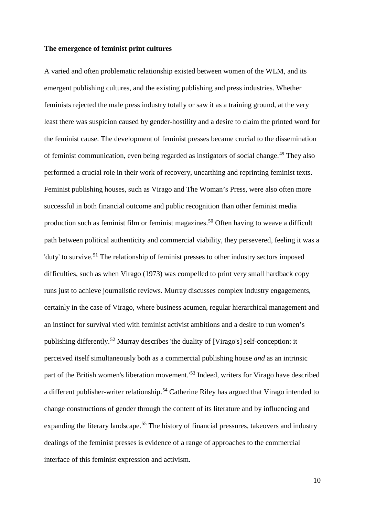#### **The emergence of feminist print cultures**

<span id="page-9-6"></span><span id="page-9-5"></span><span id="page-9-4"></span><span id="page-9-3"></span><span id="page-9-2"></span><span id="page-9-1"></span><span id="page-9-0"></span>A varied and often problematic relationship existed between women of the WLM, and its emergent publishing cultures, and the existing publishing and press industries. Whether feminists rejected the male press industry totally or saw it as a training ground, at the very least there was suspicion caused by gender-hostility and a desire to claim the printed word for the feminist cause. The development of feminist presses became crucial to the dissemination of feminist communication, even being regarded as instigators of social change. [49](#page-12-0) They also performed a crucial role in their work of recovery, unearthing and reprinting feminist texts. Feminist publishing houses, such as Virago and The Woman's Press, were also often more successful in both financial outcome and public recognition than other feminist media production such as feminist film or feminist magazines.<sup>[50](#page-12-1)</sup> Often having to weave a difficult path between political authenticity and commercial viability, they persevered, feeling it was a 'duty' to survive.<sup>[51](#page-12-2)</sup> The relationship of feminist presses to other industry sectors imposed difficulties, such as when Virago (1973) was compelled to print very small hardback copy runs just to achieve journalistic reviews. Murray discusses complex industry engagements, certainly in the case of Virago, where business acumen, regular hierarchical management and an instinct for survival vied with feminist activist ambitions and a desire to run women's publishing differently.[52](#page-12-3) Murray describes 'the duality of [Virago's] self-conception: it perceived itself simultaneously both as a commercial publishing house *and* as an intrinsic part of the British women's liberation movement.'[53](#page-12-4) Indeed, writers for Virago have described a different publisher-writer relationship.[54](#page-12-5) Catherine Riley has argued that Virago intended to change constructions of gender through the content of its literature and by influencing and expanding the literary landscape.<sup>[55](#page-12-6)</sup> The history of financial pressures, takeovers and industry dealings of the feminist presses is evidence of a range of approaches to the commercial interface of this feminist expression and activism.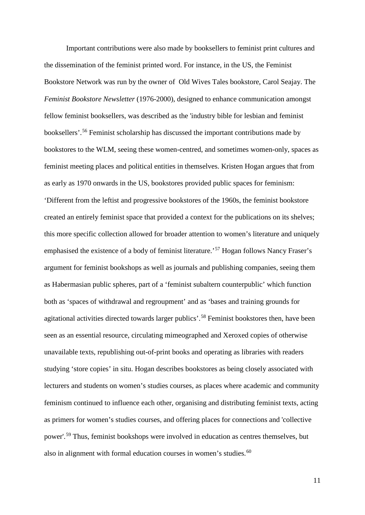<span id="page-10-6"></span><span id="page-10-5"></span><span id="page-10-4"></span><span id="page-10-3"></span><span id="page-10-2"></span><span id="page-10-1"></span><span id="page-10-0"></span>Important contributions were also made by booksellers to feminist print cultures and the dissemination of the feminist printed word. For instance, in the US, the Feminist Bookstore Network was run by the owner of Old Wives Tales bookstore, Carol Seajay. The *Feminist Bookstore Newsletter* (1976-2000), designed to enhance communication amongst fellow feminist booksellers, was described as the 'industry bible for lesbian and feminist booksellers'. [56](#page-13-0) Feminist scholarship has discussed the important contributions made by bookstores to the WLM, seeing these women-centred, and sometimes women-only, spaces as feminist meeting places and political entities in themselves. Kristen Hogan argues that from as early as 1970 onwards in the US, bookstores provided public spaces for feminism: 'Different from the leftist and progressive bookstores of the 1960s, the feminist bookstore created an entirely feminist space that provided a context for the publications on its shelves; this more specific collection allowed for broader attention to women's literature and uniquely emphasised the existence of a body of feminist literature.<sup>[57](#page-13-1)</sup> Hogan follows Nancy Fraser's argument for feminist bookshops as well as journals and publishing companies, seeing them as Habermasian public spheres, part of a 'feminist subaltern counterpublic' which function both as 'spaces of withdrawal and regroupment' and as 'bases and training grounds for agitational activities directed towards larger publics'. [58](#page-13-2) Feminist bookstores then, have been seen as an essential resource, circulating mimeographed and Xeroxed copies of otherwise unavailable texts, republishing out-of-print books and operating as libraries with readers studying 'store copies' in situ. Hogan describes bookstores as being closely associated with lecturers and students on women's studies courses, as places where academic and community feminism continued to influence each other, organising and distributing feminist texts, acting as primers for women's studies courses, and offering places for connections and 'collective power'.<sup>[59](#page-13-3)</sup> Thus, feminist bookshops were involved in education as centres themselves, but also in alignment with formal education courses in women's studies.<sup>[60](#page-13-4)</sup>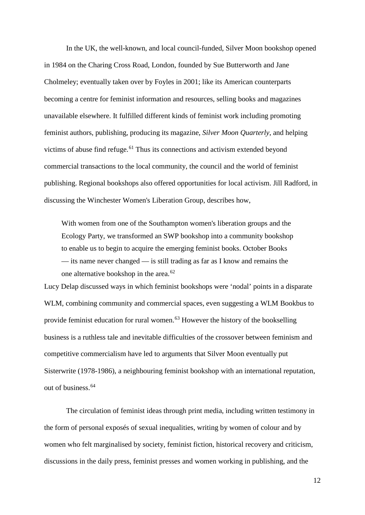In the UK, the well-known, and local council-funded, Silver Moon bookshop opened in 1984 on the Charing Cross Road, London, founded by Sue Butterworth and Jane Cholmeley; eventually taken over by Foyles in 2001; like its American counterparts becoming a centre for feminist information and resources, selling books and magazines unavailable elsewhere. It fulfilled different kinds of feminist work including promoting feminist authors, publishing, producing its magazine, *Silver Moon Quarterly*, and helping victims of abuse find refuge. $61$  Thus its connections and activism extended beyond commercial transactions to the local community, the council and the world of feminist publishing. Regional bookshops also offered opportunities for local activism. Jill Radford, in discussing the Winchester Women's Liberation Group, describes how,

<span id="page-11-5"></span><span id="page-11-4"></span><span id="page-11-3"></span><span id="page-11-2"></span><span id="page-11-1"></span><span id="page-11-0"></span>With women from one of the Southampton women's liberation groups and the Ecology Party, we transformed an SWP bookshop into a community bookshop to enable us to begin to acquire the emerging feminist books. October Books — its name never changed — is still trading as far as I know and remains the one alternative bookshop in the area.[62](#page-14-1) 

Lucy Delap discussed ways in which feminist bookshops were 'nodal' points in a disparate WLM, combining community and commercial spaces, even suggesting a WLM Bookbus to provide feminist education for rural women.<sup>[63](#page-14-2)</sup> However the history of the bookselling business is a ruthless tale and inevitable difficulties of the crossover between feminism and competitive commercialism have led to arguments that Silver Moon eventually put Sisterwrite (1978-1986), a neighbouring feminist bookshop with an international reputation, out of business.<sup>[64](#page-14-3)</sup>

The circulation of feminist ideas through print media, including written testimony in the form of personal exposés of sexual inequalities, writing by women of colour and by women who felt marginalised by society, feminist fiction, historical recovery and criticism, discussions in the daily press, feminist presses and women working in publishing, and the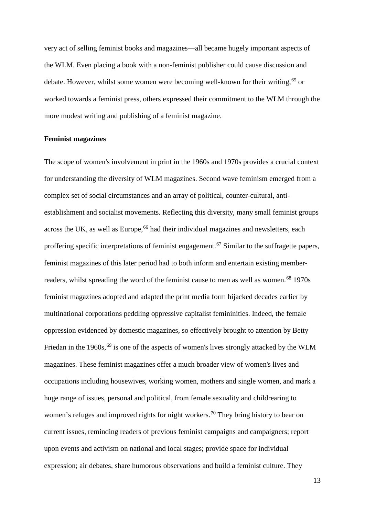very act of selling feminist books and magazines—all became hugely important aspects of the WLM. Even placing a book with a non-feminist publisher could cause discussion and debate. However, whilst some women were becoming well-known for their writing,<sup>[65](#page-15-0)</sup> or worked towards a feminist press, others expressed their commitment to the WLM through the more modest writing and publishing of a feminist magazine.

#### **Feminist magazines**

<span id="page-12-6"></span><span id="page-12-5"></span><span id="page-12-4"></span><span id="page-12-3"></span><span id="page-12-2"></span><span id="page-12-1"></span><span id="page-12-0"></span>The scope of women's involvement in print in the 1960s and 1970s provides a crucial context for understanding the diversity of WLM magazines. Second wave feminism emerged from a complex set of social circumstances and an array of political, counter-cultural, antiestablishment and socialist movements. Reflecting this diversity, many small feminist groups across the UK, as well as Europe,<sup>[66](#page-15-1)</sup> had their individual magazines and newsletters, each proffering specific interpretations of feminist engagement.<sup>[67](#page-15-2)</sup> Similar to the suffragette papers, feminist magazines of this later period had to both inform and entertain existing member-readers, whilst spreading the word of the feminist cause to men as well as women.<sup>[68](#page-15-3)</sup> 1970s feminist magazines adopted and adapted the print media form hijacked decades earlier by multinational corporations peddling oppressive capitalist femininities. Indeed, the female oppression evidenced by domestic magazines, so effectively brought to attention by Betty Friedan in the 1960s,<sup>[69](#page-15-4)</sup> is one of the aspects of women's lives strongly attacked by the WLM magazines. These feminist magazines offer a much broader view of women's lives and occupations including housewives, working women, mothers and single women, and mark a huge range of issues, personal and political, from female sexuality and childrearing to women's refuges and improved rights for night workers.<sup>[70](#page-15-5)</sup> They bring history to bear on current issues, reminding readers of previous feminist campaigns and campaigners; report upon events and activism on national and local stages; provide space for individual expression; air debates, share humorous observations and build a feminist culture. They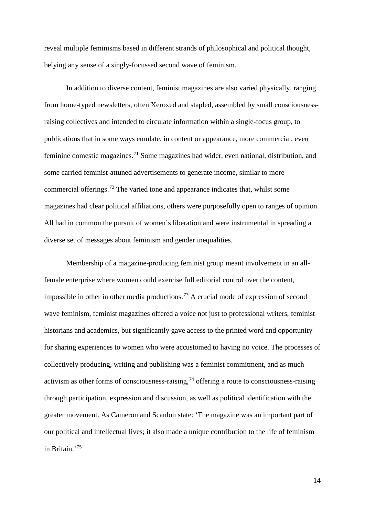reveal multiple feminisms based in different strands of philosophical and political thought, belying any sense of a singly-focussed second wave of feminism.

In addition to diverse content, feminist magazines are also varied physically, ranging from home-typed newsletters, often Xeroxed and stapled, assembled by small consciousnessraising collectives and intended to circulate information within a single-focus group, to publications that in some ways emulate, in content or appearance, more commercial, even feminine domestic magazines.<sup>[71](#page-16-0)</sup> Some magazines had wider, even national, distribution, and some carried feminist-attuned advertisements to generate income, similar to more commercial offerings.[72](#page-16-1) The varied tone and appearance indicates that, whilst some magazines had clear political affiliations, others were purposefully open to ranges of opinion. All had in common the pursuit of women's liberation and were instrumental in spreading a diverse set of messages about feminism and gender inequalities.

<span id="page-13-4"></span><span id="page-13-3"></span><span id="page-13-2"></span><span id="page-13-1"></span><span id="page-13-0"></span>Membership of a magazine-producing feminist group meant involvement in an allfemale enterprise where women could exercise full editorial control over the content, impossible in other in other media productions.<sup>[73](#page-16-2)</sup> A crucial mode of expression of second wave feminism, feminist magazines offered a voice not just to professional writers, feminist historians and academics, but significantly gave access to the printed word and opportunity for sharing experiences to women who were accustomed to having no voice. The processes of collectively producing, writing and publishing was a feminist commitment, and as much activism as other forms of consciousness-raising,<sup>[74](#page-16-3)</sup> offering a route to consciousness-raising through participation, expression and discussion, as well as political identification with the greater movement. As Cameron and Scanlon state: 'The magazine was an important part of our political and intellectual lives; it also made a unique contribution to the life of feminism in Britain.'[75](#page-16-4)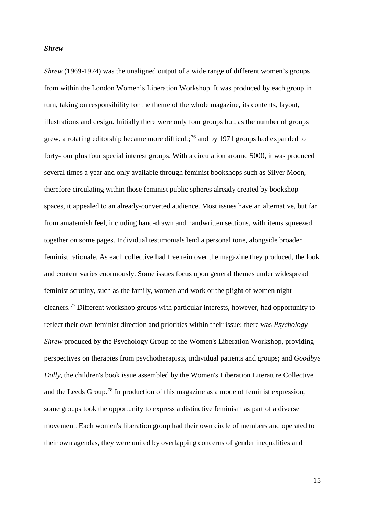## *Shrew*

<span id="page-14-3"></span><span id="page-14-2"></span><span id="page-14-1"></span><span id="page-14-0"></span>*Shrew* (1969-1974) was the unaligned output of a wide range of different women's groups from within the London Women's Liberation Workshop. It was produced by each group in turn, taking on responsibility for the theme of the whole magazine, its contents, layout, illustrations and design. Initially there were only four groups but, as the number of groups grew, a rotating editorship became more difficult;<sup>[76](#page-17-0)</sup> and by 1971 groups had expanded to forty-four plus four special interest groups. With a circulation around 5000, it was produced several times a year and only available through feminist bookshops such as Silver Moon, therefore circulating within those feminist public spheres already created by bookshop spaces, it appealed to an already-converted audience. Most issues have an alternative, but far from amateurish feel, including hand-drawn and handwritten sections, with items squeezed together on some pages. Individual testimonials lend a personal tone, alongside broader feminist rationale. As each collective had free rein over the magazine they produced, the look and content varies enormously. Some issues focus upon general themes under widespread feminist scrutiny, such as the family, women and work or the plight of women night cleaners.[77](#page-17-1) Different workshop groups with particular interests, however, had opportunity to reflect their own feminist direction and priorities within their issue: there was *Psychology Shrew* produced by the Psychology Group of the Women's Liberation Workshop, providing perspectives on therapies from psychotherapists, individual patients and groups; and *Goodbye Dolly*, the children's book issue assembled by the Women's Liberation Literature Collective and the Leeds Group.[78](#page-17-2) In production of this magazine as a mode of feminist expression, some groups took the opportunity to express a distinctive feminism as part of a diverse movement. Each women's liberation group had their own circle of members and operated to their own agendas, they were united by overlapping concerns of gender inequalities and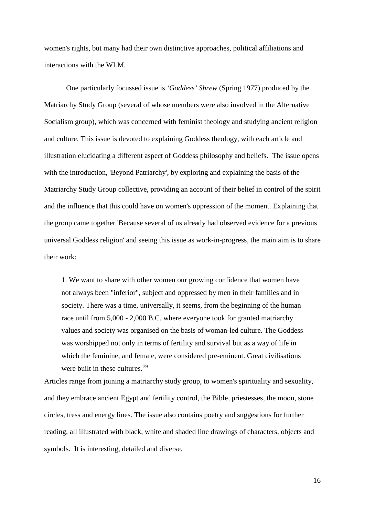<span id="page-15-3"></span>women's rights, but many had their own distinctive approaches, political affiliations and interactions with the WLM.

<span id="page-15-5"></span><span id="page-15-4"></span>One particularly focussed issue is *'Goddess' Shrew* (Spring 1977) produced by the Matriarchy Study Group (several of whose members were also involved in the Alternative Socialism group), which was concerned with feminist theology and studying ancient religion and culture. This issue is devoted to explaining Goddess theology, with each article and illustration elucidating a different aspect of Goddess philosophy and beliefs. The issue opens with the introduction, 'Beyond Patriarchy', by exploring and explaining the basis of the Matriarchy Study Group collective, providing an account of their belief in control of the spirit and the influence that this could have on women's oppression of the moment. Explaining that the group came together 'Because several of us already had observed evidence for a previous universal Goddess religion' and seeing this issue as work-in-progress, the main aim is to share their work:

1. We want to share with other women our growing confidence that women have not always been "inferior", subject and oppressed by men in their families and in society. There was a time, universally, it seems, from the beginning of the human race until from 5,000 - 2,000 B.C. where everyone took for granted matriarchy values and society was organised on the basis of woman-led culture. The Goddess was worshipped not only in terms of fertility and survival but as a way of life in which the feminine, and female, were considered pre-eminent. Great civilisations were built in these cultures.<sup>[79](#page-18-0)</sup>

<span id="page-15-2"></span><span id="page-15-1"></span><span id="page-15-0"></span>Articles range from joining a matriarchy study group, to women's spirituality and sexuality, and they embrace ancient Egypt and fertility control, the Bible, priestesses, the moon, stone circles, tress and energy lines. The issue also contains poetry and suggestions for further reading, all illustrated with black, white and shaded line drawings of characters, objects and symbols. It is interesting, detailed and diverse.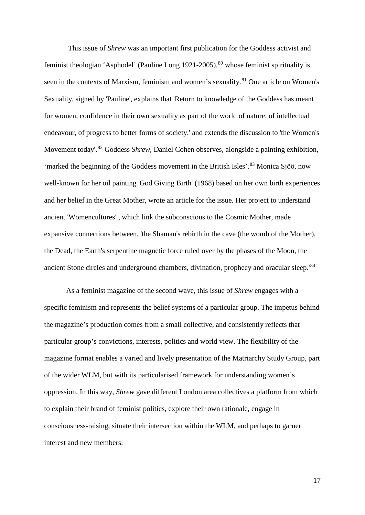<span id="page-16-4"></span><span id="page-16-3"></span><span id="page-16-2"></span><span id="page-16-1"></span><span id="page-16-0"></span>This issue of *Shrew* was an important first publication for the Goddess activist and feminist theologian 'Asphodel' (Pauline Long 1921-2005), [80](#page-19-0) whose feminist spirituality is seen in the contexts of Marxism, feminism and women's sexuality.<sup>[81](#page-19-1)</sup> One article on Women's Sexuality, signed by 'Pauline', explains that 'Return to knowledge of the Goddess has meant for women, confidence in their own sexuality as part of the world of nature, of intellectual endeavour, of progress to better forms of society.' and extends the discussion to 'the Women's Movement today'.[82](#page-19-2) Goddess *Shrew*, Daniel Cohen observes, alongside a painting exhibition, 'marked the beginning of the Goddess movement in the British Isles'.<sup>[83](#page-19-3)</sup> Monica Sjöö, now well-known for her oil painting 'God Giving Birth' (1968) based on her own birth experiences and her belief in the Great Mother, wrote an article for the issue. Her project to understand ancient 'Womencultures' , which link the subconscious to the Cosmic Mother, made expansive connections between, 'the Shaman's rebirth in the cave (the womb of the Mother), the Dead, the Earth's serpentine magnetic force ruled over by the phases of the Moon, the ancient Stone circles and underground chambers, divination, prophecy and oracular sleep.<sup>[84](#page-19-4)</sup>

 As a feminist magazine of the second wave, this issue of *Shrew* engages with a specific feminism and represents the belief systems of a particular group. The impetus behind the magazine's production comes from a small collective, and consistently reflects that particular group's convictions, interests, politics and world view. The flexibility of the magazine format enables a varied and lively presentation of the Matriarchy Study Group, part of the wider WLM, but with its particularised framework for understanding women's oppression. In this way, *Shrew* gave different London area collectives a platform from which to explain their brand of feminist politics, explore their own rationale, engage in consciousness-raising, situate their intersection within the WLM, and perhaps to garner interest and new members.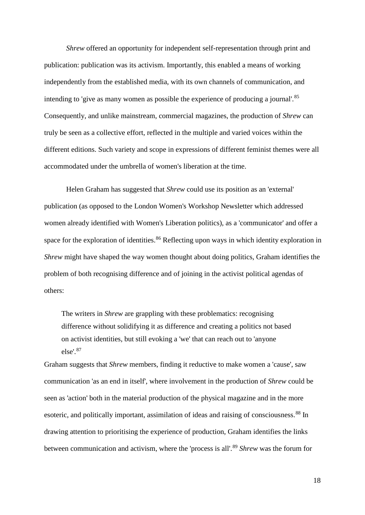*Shrew* offered an opportunity for independent self-representation through print and publication: publication was its activism. Importantly, this enabled a means of working independently from the established media, with its own channels of communication, and intending to 'give as many women as possible the experience of producing a journal'.<sup>[85](#page-20-0)</sup> Consequently, and unlike mainstream, commercial magazines, the production of *Shrew* can truly be seen as a collective effort, reflected in the multiple and varied voices within the different editions. Such variety and scope in expressions of different feminist themes were all accommodated under the umbrella of women's liberation at the time.

<span id="page-17-2"></span><span id="page-17-1"></span><span id="page-17-0"></span>Helen Graham has suggested that *Shrew* could use its position as an 'external' publication (as opposed to the London Women's Workshop Newsletter which addressed women already identified with Women's Liberation politics), as a 'communicator' and offer a space for the exploration of identities.<sup>[86](#page-20-1)</sup> Reflecting upon ways in which identity exploration in *Shrew* might have shaped the way women thought about doing politics, Graham identifies the problem of both recognising difference and of joining in the activist political agendas of others:

The writers in *Shrew* are grappling with these problematics: recognising difference without solidifying it as difference and creating a politics not based on activist identities, but still evoking a 'we' that can reach out to 'anyone else'.[87](#page-20-2)

Graham suggests that *Shrew* members, finding it reductive to make women a 'cause', saw communication 'as an end in itself', where involvement in the production of *Shrew* could be seen as 'action' both in the material production of the physical magazine and in the more esoteric, and politically important, assimilation of ideas and raising of consciousness. [88](#page-20-3) In drawing attention to prioritising the experience of production, Graham identifies the links between communication and activism, where the 'process is all'.<sup>[89](#page-20-4)</sup> *Shrew* was the forum for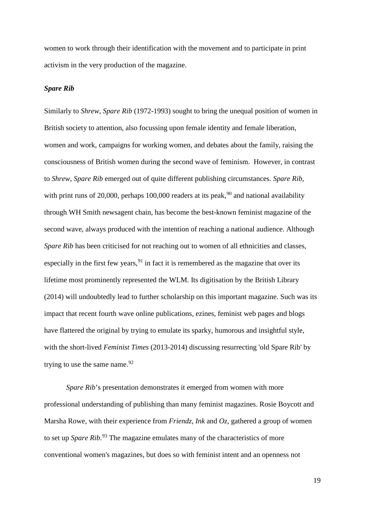women to work through their identification with the movement and to participate in print activism in the very production of the magazine.

#### *Spare Rib*

<span id="page-18-0"></span>Similarly to *Shrew*, *Spare Rib* (1972-1993) sought to bring the unequal position of women in British society to attention, also focussing upon female identity and female liberation, women and work, campaigns for working women, and debates about the family, raising the consciousness of British women during the second wave of feminism. However, in contrast to *Shrew*, *Spare Rib* emerged out of quite different publishing circumstances. *Spare Rib*, with print runs of 20,000, perhaps 100,000 readers at its peak,  $90$  and national availability through WH Smith newsagent chain, has become the best-known feminist magazine of the second wave, always produced with the intention of reaching a national audience. Although *Spare Rib* has been criticised for not reaching out to women of all ethnicities and classes, especially in the first few years,  $91$  in fact it is remembered as the magazine that over its lifetime most prominently represented the WLM. Its digitisation by the British Library (2014) will undoubtedly lead to further scholarship on this important magazine. Such was its impact that recent fourth wave online publications, ezines, feminist web pages and blogs have flattered the original by trying to emulate its sparky, humorous and insightful style, with the short-lived *Feminist Times* (2013-2014) discussing resurrecting 'old Spare Rib' by trying to use the same name.  $92$ 

*Spare Rib*'s presentation demonstrates it emerged from women with more professional understanding of publishing than many feminist magazines. Rosie Boycott and Marsha Rowe, with their experience from *Friendz*, *Ink* and *Oz*, gathered a group of women to set up *Spare Rib*. [93](#page-21-3) The magazine emulates many of the characteristics of more conventional women's magazines, but does so with feminist intent and an openness not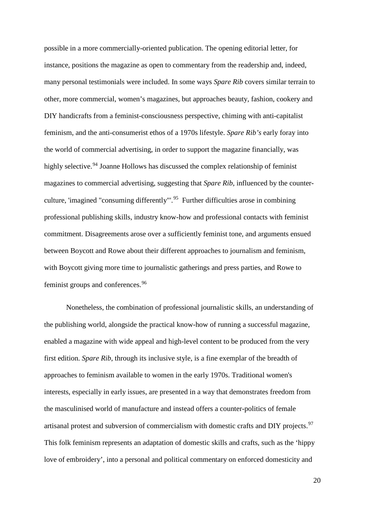possible in a more commercially-oriented publication. The opening editorial letter, for instance, positions the magazine as open to commentary from the readership and, indeed, many personal testimonials were included. In some ways *Spare Rib* covers similar terrain to other, more commercial, women's magazines, but approaches beauty, fashion, cookery and DIY handicrafts from a feminist-consciousness perspective, chiming with anti-capitalist feminism, and the anti-consumerist ethos of a 1970s lifestyle. *Spare Rib's* early foray into the world of commercial advertising, in order to support the magazine financially, was highly selective.<sup>[94](#page-22-0)</sup> Joanne Hollows has discussed the complex relationship of feminist magazines to commercial advertising, suggesting that *Spare Rib*, influenced by the counterculture, 'imagined "consuming differently"'.[95](#page-22-1) Further difficulties arose in combining professional publishing skills, industry know-how and professional contacts with feminist commitment. Disagreements arose over a sufficiently feminist tone, and arguments ensued between Boycott and Rowe about their different approaches to journalism and feminism, with Boycott giving more time to journalistic gatherings and press parties, and Rowe to feminist groups and conferences.<sup>[96](#page-22-2)</sup>

<span id="page-19-4"></span><span id="page-19-3"></span><span id="page-19-2"></span><span id="page-19-1"></span><span id="page-19-0"></span>Nonetheless, the combination of professional journalistic skills, an understanding of the publishing world, alongside the practical know-how of running a successful magazine, enabled a magazine with wide appeal and high-level content to be produced from the very first edition. *Spare Rib*, through its inclusive style, is a fine exemplar of the breadth of approaches to feminism available to women in the early 1970s. Traditional women's interests, especially in early issues, are presented in a way that demonstrates freedom from the masculinised world of manufacture and instead offers a counter-politics of female artisanal protest and subversion of commercialism with domestic crafts and DIY projects.<sup>[97](#page-22-3)</sup> This folk feminism represents an adaptation of domestic skills and crafts, such as the 'hippy love of embroidery', into a personal and political commentary on enforced domesticity and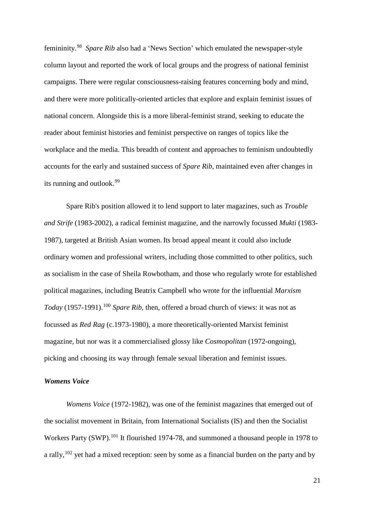femininity.[98](#page-23-0) *Spare Rib* also had a 'News Section' which emulated the newspaper-style column layout and reported the work of local groups and the progress of national feminist campaigns. There were regular consciousness-raising features concerning body and mind, and there were more politically-oriented articles that explore and explain feminist issues of national concern. Alongside this is a more liberal-feminist strand, seeking to educate the reader about feminist histories and feminist perspective on ranges of topics like the workplace and the media. This breadth of content and approaches to feminism undoubtedly accounts for the early and sustained success of *Spare Rib*, maintained even after changes in its running and outlook.[99](#page-23-1)

<span id="page-20-4"></span><span id="page-20-3"></span><span id="page-20-2"></span><span id="page-20-1"></span><span id="page-20-0"></span>Spare Rib's position allowed it to lend support to later magazines, such as *Trouble and Strife* (1983-2002), a radical feminist magazine, and the narrowly focussed *Mukti* (1983- 1987), targeted at British Asian women. Its broad appeal meant it could also include ordinary women and professional writers, including those committed to other politics, such as socialism in the case of Sheila Rowbotham, and those who regularly wrote for established political magazines, including Beatrix Campbell who wrote for the influential *Marxism Today* (1957-1991).<sup>[100](#page-23-2)</sup> *Spare Rib*, then, offered a broad church of views: it was not as focussed as *Red Rag* (c.1973-1980), a more theoretically-oriented Marxist feminist magazine, but nor was it a commercialised glossy like *Cosmopolitan* (1972-ongoing), picking and choosing its way through female sexual liberation and feminist issues.

#### *Womens Voice*

*Womens Voice* (1972-1982), was one of the feminist magazines that emerged out of the socialist movement in Britain, from International Socialists (IS) and then the Socialist Workers Party (SWP).<sup>[101](#page-23-3)</sup> It flourished 1974-78, and summoned a thousand people in 1978 to a rally,<sup>[102](#page-23-4)</sup> yet had a mixed reception: seen by some as a financial burden on the party and by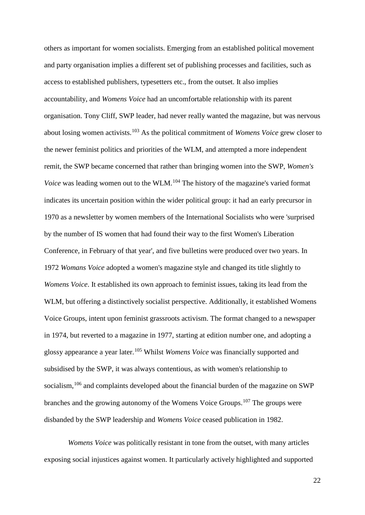others as important for women socialists. Emerging from an established political movement and party organisation implies a different set of publishing processes and facilities, such as access to established publishers, typesetters etc., from the outset. It also implies accountability, and *Womens Voice* had an uncomfortable relationship with its parent organisation. Tony Cliff, SWP leader, had never really wanted the magazine, but was nervous about losing women activists.[103](#page-24-0) As the political commitment of *Womens Voice* grew closer to the newer feminist politics and priorities of the WLM, and attempted a more independent remit, the SWP became concerned that rather than bringing women into the SWP, *Women's Voice* was leading women out to the WLM.<sup>[104](#page-24-1)</sup> The history of the magazine's varied format indicates its uncertain position within the wider political group: it had an early precursor in 1970 as a newsletter by women members of the International Socialists who were 'surprised by the number of IS women that had found their way to the first Women's Liberation Conference, in February of that year', and five bulletins were produced over two years. In 1972 *Womans Voice* adopted a women's magazine style and changed its title slightly to *Womens Voice*. It established its own approach to feminist issues, taking its lead from the WLM, but offering a distinctively socialist perspective. Additionally, it established Womens Voice Groups, intent upon feminist grassroots activism. The format changed to a newspaper in 1974, but reverted to a magazine in 1977, starting at edition number one, and adopting a glossy appearance a year later.[105](#page-24-2) Whilst *Womens Voice* was financially supported and subsidised by the SWP, it was always contentious, as with women's relationship to socialism, <sup>[106](#page-24-3)</sup> and complaints developed about the financial burden of the magazine on SWP branches and the growing autonomy of the Womens Voice Groups.<sup>[107](#page-24-4)</sup> The groups were disbanded by the SWP leadership and *Womens Voice* ceased publication in 1982.

<span id="page-21-3"></span><span id="page-21-2"></span><span id="page-21-1"></span><span id="page-21-0"></span>*Womens Voice* was politically resistant in tone from the outset, with many articles exposing social injustices against women. It particularly actively highlighted and supported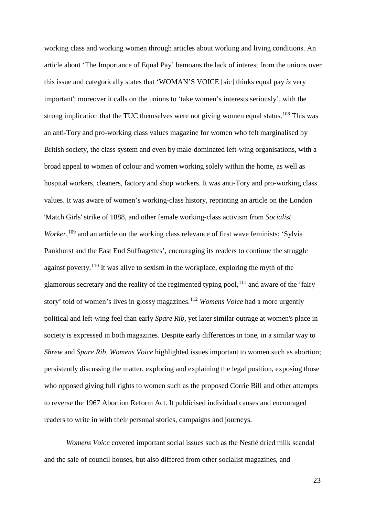working class and working women through articles about working and living conditions. An article about 'The Importance of Equal Pay' bemoans the lack of interest from the unions over this issue and categorically states that 'WOMAN'S VOICE [sic] thinks equal pay *is* very important'; moreover it calls on the unions to 'take women's interests seriously', with the strong implication that the TUC themselves were not giving women equal status.<sup>[108](#page-25-0)</sup> This was an anti-Tory and pro-working class values magazine for women who felt marginalised by British society, the class system and even by male-dominated left-wing organisations, with a broad appeal to women of colour and women working solely within the home, as well as hospital workers, cleaners, factory and shop workers. It was anti-Tory and pro-working class values. It was aware of women's working-class history, reprinting an article on the London 'Match Girls' strike of 1888, and other female working-class activism from *Socialist*  Worker,<sup>[109](#page-25-1)</sup> and an article on the working class relevance of first wave feminists: 'Sylvia Pankhurst and the East End Suffragettes', encouraging its readers to continue the struggle against poverty.<sup>[110](#page-25-2)</sup> It was alive to sexism in the workplace, exploring the myth of the glamorous secretary and the reality of the regimented typing pool,  $^{111}$  $^{111}$  $^{111}$  and aware of the 'fairy story' told of women's lives in glossy magazines.[112](#page-25-4) *Womens Voice* had a more urgently political and left-wing feel than early *Spare Rib*, yet later similar outrage at women's place in society is expressed in both magazines. Despite early differences in tone, in a similar way to *Shrew* and *Spare Rib*, *Womens Voice* highlighted issues important to women such as abortion; persistently discussing the matter, exploring and explaining the legal position, exposing those who opposed giving full rights to women such as the proposed Corrie Bill and other attempts to reverse the 1967 Abortion Reform Act. It publicised individual causes and encouraged readers to write in with their personal stories, campaigns and journeys.

<span id="page-22-3"></span><span id="page-22-2"></span><span id="page-22-1"></span><span id="page-22-0"></span>*Womens Voice* covered important social issues such as the Nestlé dried milk scandal and the sale of council houses, but also differed from other socialist magazines, and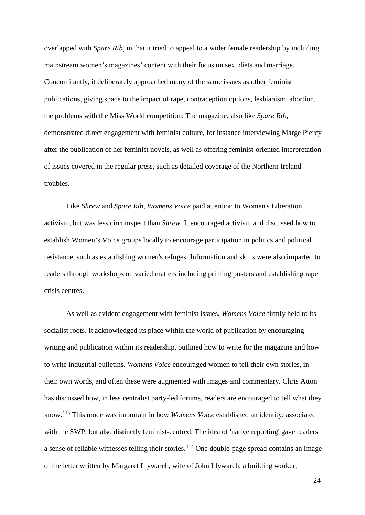overlapped with *Spare Rib*, in that it tried to appeal to a wider female readership by including mainstream women's magazines' content with their focus on sex, diets and marriage. Concomitantly, it deliberately approached many of the same issues as other feminist publications, giving space to the impact of rape, contraception options, lesbianism, abortion, the problems with the Miss World competition. The magazine, also like *Spare Rib*, demonstrated direct engagement with feminist culture, for instance interviewing Marge Piercy after the publication of her feminist novels, as well as offering feminist-oriented interpretation of issues covered in the regular press, such as detailed coverage of the Northern Ireland troubles.

Like *Shrew* and *Spare Rib*, *Womens Voice* paid attention to Women's Liberation activism, but was less circumspect than *Shrew*. It encouraged activism and discussed how to establish Women's Voice groups locally to encourage participation in politics and political resistance, such as establishing women's refuges. Information and skills were also imparted to readers through workshops on varied matters including printing posters and establishing rape crisis centres.

<span id="page-23-4"></span><span id="page-23-3"></span><span id="page-23-2"></span><span id="page-23-1"></span><span id="page-23-0"></span>As well as evident engagement with feminist issues, *Womens Voice* firmly held to its socialist roots. It acknowledged its place within the world of publication by encouraging writing and publication within its readership, outlined how to write for the magazine and how to write industrial bulletins. *Womens Voice* encouraged women to tell their own stories, in their own words, and often these were augmented with images and commentary. Chris Atton has discussed how, in less centralist party-led forums, readers are encouraged to tell what they know.[113](#page-25-5) This mode was important in how *Womens Voice* established an identity: associated with the SWP, but also distinctly feminist-centred. The idea of 'native reporting' gave readers a sense of reliable witnesses telling their stories.<sup>[114](#page-25-6)</sup> One double-page spread contains an image of the letter written by Margaret Llywarch, wife of John Llywarch, a building worker,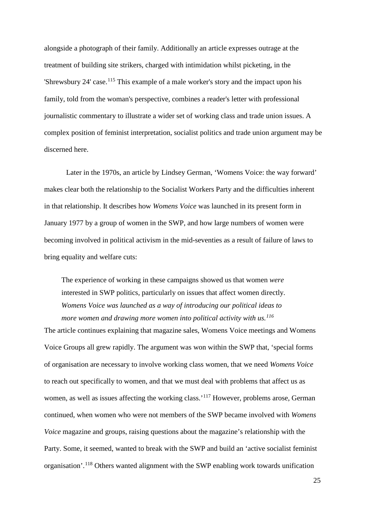<span id="page-24-4"></span>alongside a photograph of their family. Additionally an article expresses outrage at the treatment of building site strikers, charged with intimidation whilst picketing, in the 'Shrewsbury 24' case.<sup>[115](#page-26-0)</sup> This example of a male worker's story and the impact upon his family, told from the woman's perspective, combines a reader's letter with professional journalistic commentary to illustrate a wider set of working class and trade union issues. A complex position of feminist interpretation, socialist politics and trade union argument may be discerned here.

Later in the 1970s, an article by Lindsey German, 'Womens Voice: the way forward' makes clear both the relationship to the Socialist Workers Party and the difficulties inherent in that relationship. It describes how *Womens Voice* was launched in its present form in January 1977 by a group of women in the SWP, and how large numbers of women were becoming involved in political activism in the mid-seventies as a result of failure of laws to bring equality and welfare cuts:

The experience of working in these campaigns showed us that women *were* interested in SWP politics, particularly on issues that affect women directly. *Womens Voice was launched as a way of introducing our political ideas to more women and drawing more women into political activity with us.[116](#page-26-1)*

<span id="page-24-3"></span><span id="page-24-2"></span><span id="page-24-1"></span><span id="page-24-0"></span>The article continues explaining that magazine sales, Womens Voice meetings and Womens Voice Groups all grew rapidly. The argument was won within the SWP that, 'special forms of organisation are necessary to involve working class women, that we need *Womens Voice* to reach out specifically to women, and that we must deal with problems that affect us as women, as well as issues affecting the working class.<sup>'[117](#page-26-2)</sup> However, problems arose, German continued, when women who were not members of the SWP became involved with *Womens Voice* magazine and groups, raising questions about the magazine's relationship with the Party. Some, it seemed, wanted to break with the SWP and build an 'active socialist feminist organisation'.[118](#page-26-3) Others wanted alignment with the SWP enabling work towards unification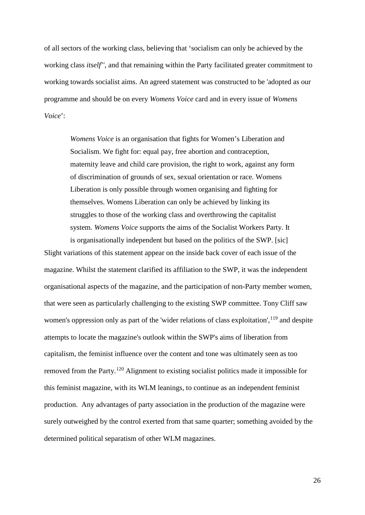<span id="page-25-5"></span><span id="page-25-4"></span><span id="page-25-3"></span><span id="page-25-2"></span><span id="page-25-1"></span><span id="page-25-0"></span>of all sectors of the working class, believing that 'socialism can only be achieved by the working class *itself*'', and that remaining within the Party facilitated greater commitment to working towards socialist aims. An agreed statement was constructed to be 'adopted as our programme and should be on every *Womens Voice* card and in every issue of *Womens Voice*':

<span id="page-25-6"></span>*Womens Voice* is an organisation that fights for Women's Liberation and Socialism. We fight for: equal pay, free abortion and contraception, maternity leave and child care provision, the right to work, against any form of discrimination of grounds of sex, sexual orientation or race. Womens Liberation is only possible through women organising and fighting for themselves. Womens Liberation can only be achieved by linking its struggles to those of the working class and overthrowing the capitalist system. *Womens Voice* supports the aims of the Socialist Workers Party. It is organisationally independent but based on the politics of the SWP. [sic]

Slight variations of this statement appear on the inside back cover of each issue of the magazine. Whilst the statement clarified its affiliation to the SWP, it was the independent organisational aspects of the magazine, and the participation of non-Party member women, that were seen as particularly challenging to the existing SWP committee. Tony Cliff saw women's oppression only as part of the 'wider relations of class exploitation', <sup>[119](#page-27-0)</sup> and despite attempts to locate the magazine's outlook within the SWP's aims of liberation from capitalism, the feminist influence over the content and tone was ultimately seen as too removed from the Party.[120](#page-27-1) Alignment to existing socialist politics made it impossible for this feminist magazine, with its WLM leanings, to continue as an independent feminist production. Any advantages of party association in the production of the magazine were surely outweighed by the control exerted from that same quarter; something avoided by the determined political separatism of other WLM magazines.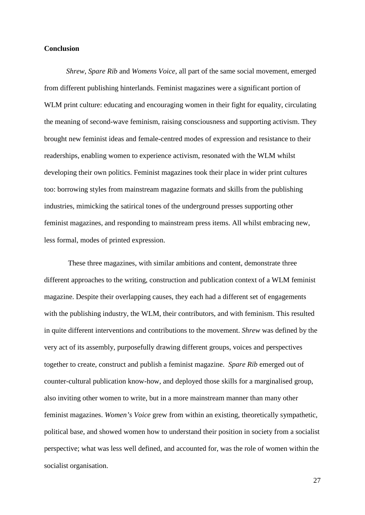## **Conclusion**

<span id="page-26-3"></span><span id="page-26-2"></span><span id="page-26-1"></span><span id="page-26-0"></span>*Shrew*, *Spare Rib* and *Womens Voice*, all part of the same social movement, emerged from different publishing hinterlands. Feminist magazines were a significant portion of WLM print culture: educating and encouraging women in their fight for equality, circulating the meaning of second-wave feminism, raising consciousness and supporting activism. They brought new feminist ideas and female-centred modes of expression and resistance to their readerships, enabling women to experience activism, resonated with the WLM whilst developing their own politics. Feminist magazines took their place in wider print cultures too: borrowing styles from mainstream magazine formats and skills from the publishing industries, mimicking the satirical tones of the underground presses supporting other feminist magazines, and responding to mainstream press items. All whilst embracing new, less formal, modes of printed expression.

These three magazines, with similar ambitions and content, demonstrate three different approaches to the writing, construction and publication context of a WLM feminist magazine. Despite their overlapping causes, they each had a different set of engagements with the publishing industry, the WLM, their contributors, and with feminism. This resulted in quite different interventions and contributions to the movement. *Shrew* was defined by the very act of its assembly, purposefully drawing different groups, voices and perspectives together to create, construct and publish a feminist magazine. *Spare Rib* emerged out of counter-cultural publication know-how, and deployed those skills for a marginalised group, also inviting other women to write, but in a more mainstream manner than many other feminist magazines. *Women's Voice* grew from within an existing, theoretically sympathetic, political base, and showed women how to understand their position in society from a socialist perspective; what was less well defined, and accounted for, was the role of women within the socialist organisation.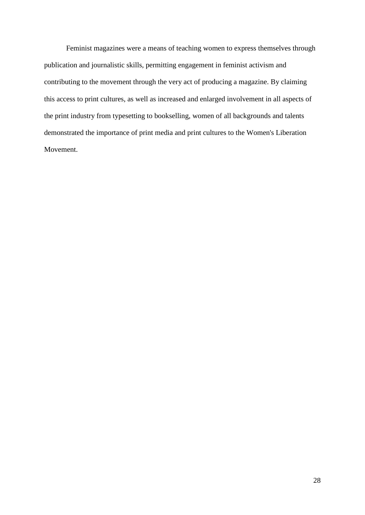<span id="page-27-1"></span><span id="page-27-0"></span>Feminist magazines were a means of teaching women to express themselves through publication and journalistic skills, permitting engagement in feminist activism and contributing to the movement through the very act of producing a magazine. By claiming this access to print cultures, as well as increased and enlarged involvement in all aspects of the print industry from typesetting to bookselling, women of all backgrounds and talents demonstrated the importance of print media and print cultures to the Women's Liberation Movement.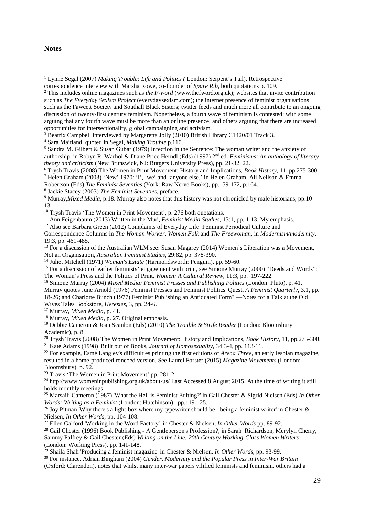#### **Notes**

<u>.</u>

<sup>5</sup> Sandra M. Gilbert & Susan Gubar (1979) Infection in the Sentence: The woman writer and the anxiety of authorship, in Robyn R. Warhol & Diane Price Herndl (Eds) (1997) 2nd ed. *Feminisms: An anthology of literary theory and criticism* (New Brunswick, NJ: Rutgers University Press), pp. 21-32, 22.

- <sup>6</sup> Trysh Travis (2008) The Women in Print Movement: History and Implications, *Book History*, 11, pp.275-300.
- <sup>7</sup> Helen Graham (2003) 'New' 1970: 'I', 'we' and 'anyone else,' in Helen Graham, Ali Neilson & Emma

Robertson (Eds) *The Feminist Seventies* (York: Raw Nerve Books), pp.159-172, p.164.

<sup>8</sup> Jackie Stacey (2003) *The Feminist Seventies*, preface.

<sup>10</sup> Trysh Travis 'The Women in Print Movement', p. 276 both quotations.

<sup>11</sup> Ann Feigenbaum (2013) Written in the Mud, *Feminist Media Studies*, 13:1, pp. 1-13. My emphasis.

<sup>12</sup> Also see Barbara Green (2012) Complaints of Everyday Life: Feminist Periodical Culture and

Correspondence Columns in *The Woman Worker*, *Women Folk* and *The Freewoman*, in *Modernism/modernity*, 19:3, pp. 461-485.

<sup>13</sup> For a discussion of the Australian WLM see: Susan Magarey (2014) Women's Liberation was a Movement, Not an Organisation, *Australian Feminist Studies*, 29:82, pp. 378-390.

<sup>14</sup> Juliet Mitchell (1971) *Woman's Estate* (Harmondsworth: Penguin), pp. 59-60.

<sup>15</sup> For a discussion of earlier feminists' engagement with print, see Simone Murray (2000) "Deeds and Words": The Woman's Press and the Politics of Print, *Women: A Cultural Review*, 11:3, pp. 197-222.

<sup>16</sup> Simone Murray (2004) *Mixed Media: Feminist Presses and Publishing Politics* (London: Pluto), p. 41. Murray quotes June Arnold (1976) Feminist Presses and Feminist Politics' Quest, *A Feminist Quarterly*, 3.1, pp. 18-26; and Charlotte Bunch (1977) Feminist Publishing an Antiquated Form? —Notes for a Talk at the Old Wives Tales Bookstore, *Heresies*, 3, pp. 24-6.

<sup>17</sup> Murray, *Mixed Media*, p. 41.

<sup>18</sup> Murray, *Mixed Media*, p. 27. Original emphasis.

<sup>19</sup> Debbie Cameron & Joan Scanlon (Eds) (2010) *The Trouble & Strife Reader* (London: Bloomsbury Academic), p. 8

<sup>20</sup> Trysh Travis (2008) The Women in Print Movement: History and Implications, *Book History*, 11, pp.275-300.

<sup>21</sup> Kate Adams (1998) 'Built out of Books, *Journal of Homosexuality*, 34:3-4, pp. 113-11.

<sup>22</sup> For example, Esmé Langley's difficulties printing the first editions of *Arena Three*, an early lesbian magazine, resulted in a home-produced roneoed version. See Laurel Forster (2015) *Magazine Movements* (London: Bloomsbury), p. 92.

<sup>23</sup> Travis 'The Women in Print Movement' pp. 281-2.

<sup>24</sup> http://www.womeninpublishing.org.uk/about-us/ Last Accessed 8 August 2015. At the time of writing it still holds monthly meetings.

<sup>25</sup> Marsaili Cameron (1987) 'What the Hell is Feminist Editing?' in Gail Chester & Sigrid Nielsen (Eds) *In Other Words: Writing as a Feminist* (London: Hutchinson), pp.119-125.

<sup>26</sup> Joy Pitman 'Why there's a light-box where my typewriter should be - being a feminist writer' in Chester  $\&$ Nielsen, *In Other Words*, pp. 104-108.

<sup>27</sup> Ellen Galford 'Working in the Word Factory' in Chester & Nielsen, *In Other Words* pp. 89-92.

<sup>28</sup> Gail Chester (1996) Book Publishing - A Gentleperson's Profession?, in Sarah Richardson, Merylyn Cherry, Sammy Palfrey & Gail Chester (Eds) *Writing on the Line: 20th Century Working-Class Women Writers* (London: Working Press). pp. 141-148.

<sup>29</sup> Shaila Shah 'Producing a feminist magazine' in Chester & Nielsen, *In Other Words*, pp. 93-99.

<sup>30</sup> For instance, Adrian Bingham (2004) *Gender, Modernity and the Popular Press in Inter-War Britain* (Oxford: Clarendon), notes that whilst many inter-war papers vilified feminists and feminism, others had a

<sup>1</sup> Lynne Segal (2007) *Making Trouble: Life and Politics (* London: Serpent's Tail). Retrospective

correspondence interview with Marsha Rowe, co-founder of *Spare Rib*, both quotations p. 109.

<sup>2</sup> This includes online magazines such as *the F-word* (www.thefword.org.uk); websites that invite contribution such as *The Everyday Sexism Project* (everydaysexism.com); the internet presence of feminist organisations such as the Fawcett Society and Southall Black Sisters; twitter feeds and much more all contribute to an ongoing discussion of twenty-first century feminism. Nonetheless, a fourth wave of feminism is contested: with some arguing that any fourth wave must be more than an online presence; and others arguing that there are increased opportunities for intersectionality, global campaigning and activism.<br>
<sup>3</sup> Beatrix Campbell interviewed by Margaretta Jolly (2010) British Library C1420/01 Track 3.<br>
<sup>4</sup> Sara Maitland, quoted in Segal, *Making Trouble* p.1

<sup>9</sup> Murray,*Mixed Media*, p.18. Murray also notes that this history was not chronicled by male historians, pp.10- 13.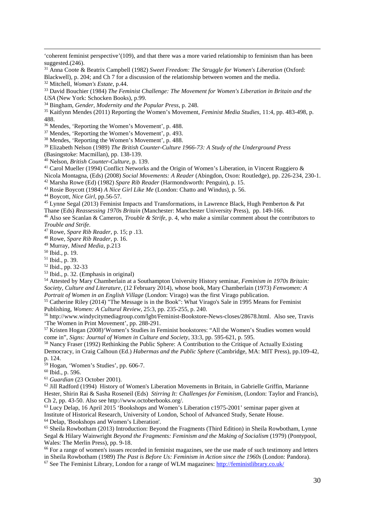'coherent feminist perspective'(109), and that there was a more varied relationship to feminism than has been suggested.(246).

<sup>31</sup> Anna Coote & Beatrix Campbell (1982) *Sweet Freedom: The Struggle for Women's Liberation* (Oxford: Blackwell), p. 204; and Ch 7 for a discussion of the relationship between women and the media.

<sup>32</sup> Mitchell, *Woman's Estate*, p.44.

-

<sup>33</sup> David Bouchier (1984) *The Feminist Challenge: The Movement for Women's Liberation in Britain and the USA* (New York: Schocken Books), p.99.

<sup>34</sup> Bingham, *Gender, Modernity and the Popular Press*, p. 248.

<sup>35</sup> Kaitlynn Mendes (2011) Reporting the Women's Movement, *Feminist Media Studies*, 11:4, pp. 483-498, p. 488.

<sup>36</sup> Mendes, 'Reporting the Women's Movement', p. 488.

<sup>37</sup> Mendes, 'Reporting the Women's Movement', p. 493.

<sup>38</sup> Mendes, 'Reporting the Women's Movement', p. 488.

<sup>39</sup> Elizabeth Nelson (1989) *The British Counter-Culture 1966-73: A Study of the Underground Press*

(Basingstoke: Macmillan), pp. 138-139.

<sup>40</sup> Nelson, *British Counter-Culture*, p. 139.

<sup>41</sup> Carol Mueller (1994) Conflict Networks and the Origin of Women's Liberation, in Vincent Ruggiero &

Nicola Montagna, (Eds) (2008) *Social Movements: A Reader* (Abingdon, Oxon: Routledge), pp. 226-234, 230-1.

<sup>43</sup> Rosie Boycott (1984) *A Nice Girl Like Me* (London: Chatto and Windus), p. 56.

<sup>44</sup> Boycott, *Nice Girl*, pp.56-57.

<sup>45</sup> Lynne Segal (2013) Feminist Impacts and Transformations, in Lawrence Black, Hugh Pemberton & Pat Thane (Eds) *Reassessing 1970s Britain* (Manchester: Manchester University Press), pp. 149-166.

<sup>46</sup> Also see Scanlan & Cameron, *Trouble & Strife*, p. 4, who make a similar comment about the contributors to *Trouble and Strife*.

<sup>47</sup> Rowe, *Spare Rib Reader*, p. 15; p .13.

<sup>48</sup> Rowe, *Spare Rib Reader*, p. 16.

<sup>49</sup> Murray, *Mixed Media*, p.213

<sup>50</sup> Ibid., p. 19.

<sup>51</sup> Ibid., p. 39.

<sup>52</sup> Ibid., pp. 32-33

<sup>53</sup> Ibid., p. 32. (Emphasis in original)

<sup>54</sup> Attested by Mary Chamberlain at a Southampton University History seminar, *Feminism in 1970s Britain: Society, Culture and Literature*, (12 February 2014), whose book, Mary Chamberlain (1973) *Fenwomen: A Portrait of Women in an English Village* (London: Virago) was the first Virago publication.

<sup>55</sup> Catherine Riley (2014) "The Message is in the Book": What Virago's Sale in 1995 Means for Feminist Publishing, *Women: A Cultural Review*, 25:3, pp. 235-255, p. 240.

<sup>56</sup> http://www.windycitymediagroup.com/lgbt/Feminist-Bookstore-News-closes/28678.html. Also see, Travis 'The Women in Print Movement', pp. 288-291.

<sup>57</sup> Kristen Hogan (2008)'Women's Studies in Feminist bookstores: "All the Women's Studies women would come in", *Signs: Journal of Women in Culture and Society*, 33:3, pp. 595-621, p. 595.

<sup>58</sup> Nancy Fraser (1992) Rethinking the Public Sphere: A Contribution to the Critique of Actually Existing Democracy, in Craig Calhoun (Ed.) *Habermas and the Public Sphere* (Cambridge, MA: MIT Press), pp.109-42, p. 124.

 $59$  Hogan, 'Women's Studies', pp. 606-7.

<sup>60</sup> Ibid., p. 596.

<sup>61</sup> *Guardian* (23 October 2001).

 $62$  Jill Radford (1994) History of Women's Liberation Movements in Britain, in Gabrielle Griffin, Marianne Hester, Shirin Rai & Sasha Roseneil (Eds) *Stirring It: Challenges for Feminism*, (London: Taylor and Francis), Ch 2, pp. 43-50. Also see http://www.octoberbooks.org/.

<sup>63</sup> Lucy Delap, 16 April 2015 'Bookshops and Women's Liberation c1975-2001' seminar paper given at Institute of Historical Research, University of London, School of Advanced Study, Senate House.<br><sup>64</sup> Delap, 'Bookshops and Women's Liberation'.

 $65$  Sheila Rowbotham (2013) Introduction: Beyond the Fragments (Third Edition) in Sheila Rowbotham, Lynne Segal & Hilary Wainwright *Beyond the Fragments: Feminism and the Making of Socialism* (1979) (Pontypool, Wales: The Merlin Press), pp. 9-18.

<sup>66</sup> For a range of women's issues recorded in feminist magazines, see the use made of such testimony and letters in Sheila Rowbotham (1989) *The Past is Before Us: Feminism in Action since the 1960s* (London: Pandora).

 $67$  See The Feminist Library, London for a range of WLM magazines:<http://feministlibrary.co.uk/>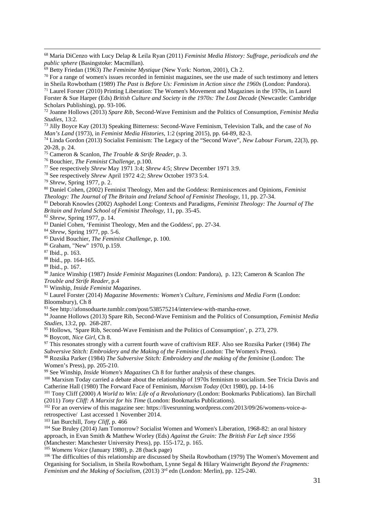Maria DiCenzo with Lucy Delap & Leila Ryan (2011) *Feminist Media History: Suffrage, periodicals and the public sphere* (Basingstoke: Macmillan).

 For a range of women's issues recorded in feminist magazines, see the use made of such testimony and letters in Sheila Rowbotham (1989) *The Past is Before Us: Feminism in Action since the 1960s* (London: Pandora).

 Laurel Forster (2010) Printing Liberation: The Women's Movement and Magazines in the 1970s, in Laurel Forster & Sue Harper (Eds) *British Culture and Society in the 1970s: The Lost Decade* (Newcastle: Cambridge

Scholars Publishing), pp. 93-106.<br><sup>72</sup> Joanne Hollows (2013) *Spare Rib*, Second-Wave Feminism and the Politics of Consumption, *Feminist Media Studies*, 13:2.

*Studies*, 13:2. 73 Jilly Boyce Kay (2013) Speaking Bitterness: Second-Wave Feminism, Television Talk, and the case of *No Man's Land* (1973), in *Feminist Media Histories*, 1:2 (spring 2015), pp. 64-89, 82-3.

 Linda Gordon (2013) Socialist Feminism: The Legacy of the "Second Wave", *New Labour Forum*, 22(3), pp. 20-28, p. 24.

Cameron & Scanlon, *The Trouble & Strife Reader*, p. 3.

Bouchier, *The Feminist Challenge*, p.100.

See respectively *Shrew* May 1971 3:4; *Shrew* 4:5; *Shrew* December 1971 3:9.

See respectively *Shrew* April 1972 4:2; *Shrew* October 1973 5:4.

*Shrew*, Spring 1977, p. 2.

 Daniel Cohen, (2002) Feminist Theology, Men and the Goddess: Reminiscences and Opinions, *Feminist Theology: The Journal of The Britain and Ireland School of Feminist Theology,* 11, pp. 27-34.

 Deborah Knowles (2002) Asphodel Long: Contexts and Paradigms, *Feminist Theology: The Journal of The Britain and Ireland School of Feminist Theology*, 11, pp. 35-45.

*Shrew*, Spring 1977, p. 14.

Daniel Cohen, 'Feminist Theology, Men and the Goddess', pp. 27-34.

*Shrew,* Spring 1977, pp. 5-6.

David Bouchier, *The Feminist Challenge*, p. 100.

Graham, "New" 1970, p.159.

Ibid., p. 163.

-

Ibid., pp. 164-165.

Ibid., p. 167.

 Janice Winship (1987) *Inside Feminist Magazines* (London: Pandora), p. 123; Cameron & Scanlon *The Trouble and Strife Reader*, p.4

Winship, *Inside Feminist Magazines*.

 Laurel Forster (2014) *Magazine Movements: Women's Culture, Feminisms and Media Form* (London: Bloomsbury), Ch 8

See http://afonsoduarte.tumblr.com/post/538575214/interview-with-marsha-rowe.

 Joanne Hollows (2013) Spare Rib, Second-Wave Feminism and the Politics of Consumption, *Feminist Media Studies*, 13:2, pp. 268-287.

Hollows, 'Spare Rib, Second-Wave Feminism and the Politics of Consumption', p. 273, 279.

Boycott, *Nice Girl*, Ch 8.

 This resonates strongly with a current fourth wave of craftivism REF. Also see Rozsika Parker (1984) *The Subversive Stitch: Embroidery and the Making of the Feminine* (London: The Women's Press).

 Rozsika Parker (1984) *The Subversive Stitch: Embroidery and the making of the feminine* (London: The Women's Press), pp. 205-210.

See Winship, *Inside Women's Magazines* Ch 8 for further analysis of these changes.

 Marxism Today carried a debate about the relationship of 1970s feminism to socialism. See Tricia Davis and Catherine Hall (1980) The Forward Face of Feminism, *Marxism Today* (Oct 1980), pp. 14-16

 Tony Cliff (2000) *A World to Win: Life of a Revolutionary* (London: Bookmarks Publications). Ian Birchall (2011) *Tony Cliff: A Marxist for his Time* (London: Bookmarks Publications).

<sup>102</sup> For an overview of this magazine see: https://livesrunning.wordpress.com/2013/09/26/womens-voice-aretrospective/ Last accessed 1 November 2014.

Ian Burchill, *Tony Cliff*, p. 466

 Sue Bruley (2014) Jam Tomorrow? Socialist Women and Women's Liberation, 1968-82: an oral history approach, in Evan Smith & Matthew Worley (Eds) *Against the Grain: The British Far Left since 1956* (Manchester: Manchester University Press), pp. 155-172, p. 165.

*Womens Voice* (January 1980), p. 28 (back page)

 The difficulties of this relationship are discussed by Sheila Rowbotham (1979) The Women's Movement and Organising for Socialism, in Sheila Rowbotham, Lynne Segal & Hilary Wainwright *Beyond the Fragments: Feminism and the Making of Socialism*, (2013) 3<sup>rd</sup> edn (London: Merlin), pp. 125-240.

Betty Friedan (1963) *The Feminine Mystique* (New York: Norton, 2001), Ch 2.